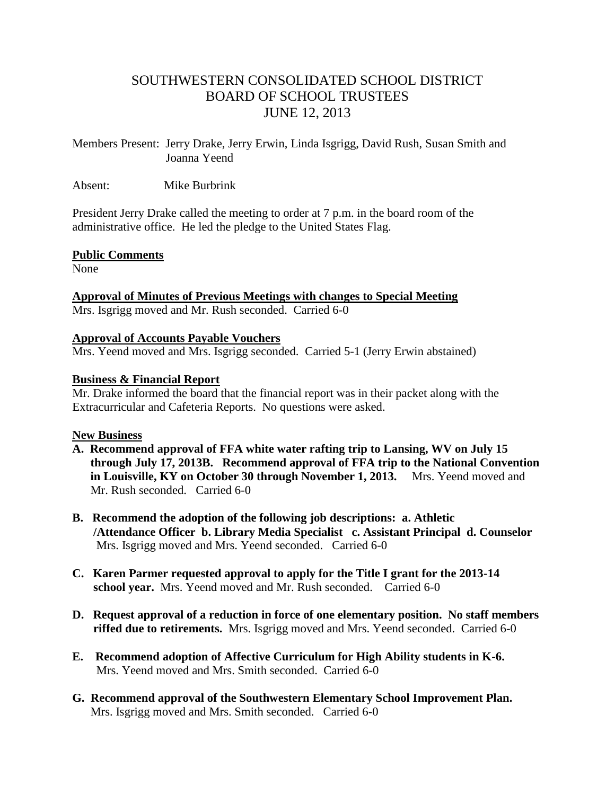# SOUTHWESTERN CONSOLIDATED SCHOOL DISTRICT BOARD OF SCHOOL TRUSTEES JUNE 12, 2013

Members Present: Jerry Drake, Jerry Erwin, Linda Isgrigg, David Rush, Susan Smith and Joanna Yeend

Absent: Mike Burbrink

President Jerry Drake called the meeting to order at 7 p.m. in the board room of the administrative office. He led the pledge to the United States Flag.

### **Public Comments**

None

**Approval of Minutes of Previous Meetings with changes to Special Meeting**  Mrs. Isgrigg moved and Mr. Rush seconded. Carried 6-0

## **Approval of Accounts Payable Vouchers**

Mrs. Yeend moved and Mrs. Isgrigg seconded. Carried 5-1 (Jerry Erwin abstained)

## **Business & Financial Report**

Mr. Drake informed the board that the financial report was in their packet along with the Extracurricular and Cafeteria Reports. No questions were asked.

### **New Business**

- **A. Recommend approval of FFA white water rafting trip to Lansing, WV on July 15 through July 17, 2013B. Recommend approval of FFA trip to the National Convention in Louisville, KY on October 30 through November 1, 2013.** Mrs. Yeend moved and Mr. Rush seconded. Carried 6-0
- **B. Recommend the adoption of the following job descriptions: a. Athletic /Attendance Officer b. Library Media Specialist c. Assistant Principal d. Counselor** Mrs. Isgrigg moved and Mrs. Yeend seconded. Carried 6-0
- **C. Karen Parmer requested approval to apply for the Title I grant for the 2013-14 school year.** Mrs. Yeend moved and Mr. Rush seconded. Carried 6-0
- **D. Request approval of a reduction in force of one elementary position. No staff members riffed due to retirements.** Mrs. Isgrigg moved and Mrs. Yeend seconded. Carried 6-0
- **E. Recommend adoption of Affective Curriculum for High Ability students in K-6.** Mrs. Yeend moved and Mrs. Smith seconded. Carried 6-0
- **G. Recommend approval of the Southwestern Elementary School Improvement Plan.** Mrs. Isgrigg moved and Mrs. Smith seconded. Carried 6-0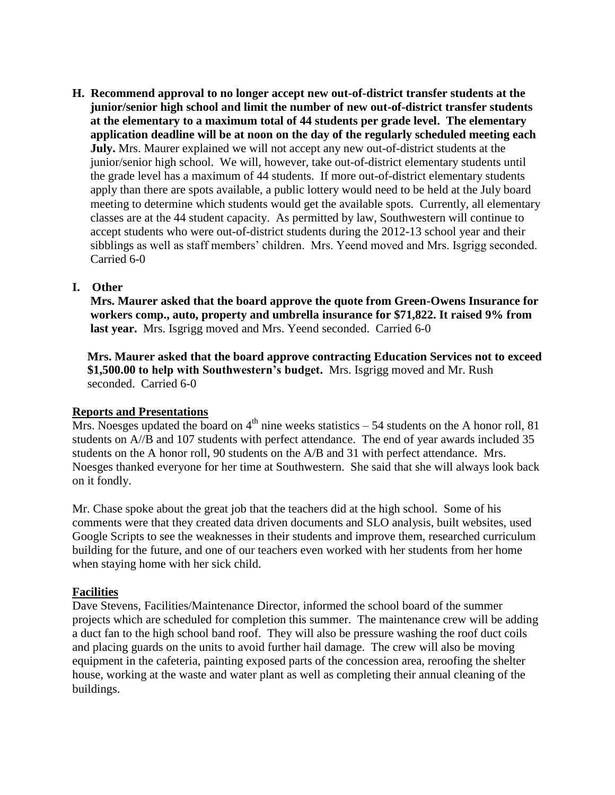**H. Recommend approval to no longer accept new out-of-district transfer students at the junior/senior high school and limit the number of new out-of-district transfer students at the elementary to a maximum total of 44 students per grade level. The elementary application deadline will be at noon on the day of the regularly scheduled meeting each July.** Mrs. Maurer explained we will not accept any new out-of-district students at the junior/senior high school. We will, however, take out-of-district elementary students until the grade level has a maximum of 44 students. If more out-of-district elementary students apply than there are spots available, a public lottery would need to be held at the July board meeting to determine which students would get the available spots. Currently, all elementary classes are at the 44 student capacity. As permitted by law, Southwestern will continue to accept students who were out-of-district students during the 2012-13 school year and their sibblings as well as staff members' children. Mrs. Yeend moved and Mrs. Isgrigg seconded. Carried 6-0

## **I. Other**

 **Mrs. Maurer asked that the board approve the quote from Green-Owens Insurance for workers comp., auto, property and umbrella insurance for \$71,822. It raised 9% from**  last year. Mrs. Isgrigg moved and Mrs. Yeend seconded. Carried 6-0

 **Mrs. Maurer asked that the board approve contracting Education Services not to exceed \$1,500.00 to help with Southwestern's budget.** Mrs. Isgrigg moved and Mr. Rush seconded. Carried 6-0

### **Reports and Presentations**

Mrs. Noesges updated the board on  $4<sup>th</sup>$  nine weeks statistics – 54 students on the A honor roll, 81 students on A//B and 107 students with perfect attendance. The end of year awards included 35 students on the A honor roll, 90 students on the A/B and 31 with perfect attendance. Mrs. Noesges thanked everyone for her time at Southwestern. She said that she will always look back on it fondly.

Mr. Chase spoke about the great job that the teachers did at the high school. Some of his comments were that they created data driven documents and SLO analysis, built websites, used Google Scripts to see the weaknesses in their students and improve them, researched curriculum building for the future, and one of our teachers even worked with her students from her home when staying home with her sick child.

### **Facilities**

Dave Stevens, Facilities/Maintenance Director, informed the school board of the summer projects which are scheduled for completion this summer. The maintenance crew will be adding a duct fan to the high school band roof. They will also be pressure washing the roof duct coils and placing guards on the units to avoid further hail damage. The crew will also be moving equipment in the cafeteria, painting exposed parts of the concession area, reroofing the shelter house, working at the waste and water plant as well as completing their annual cleaning of the buildings.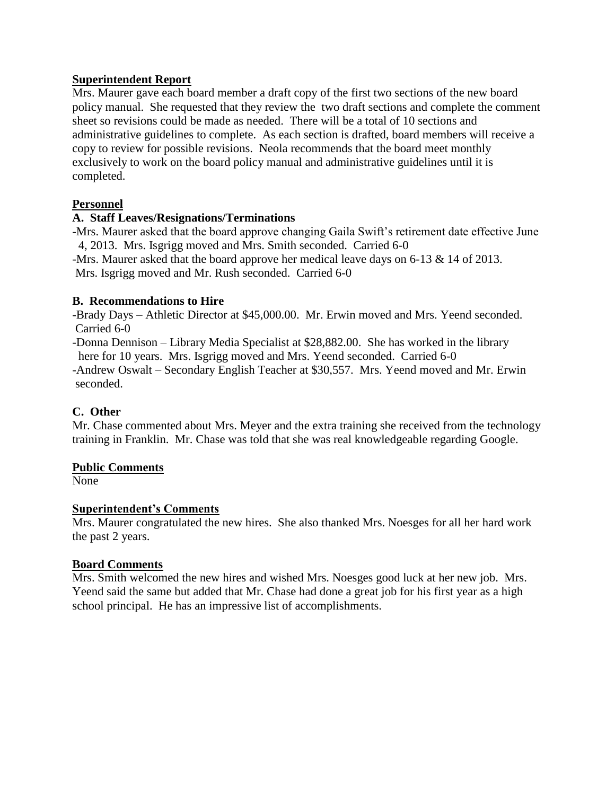### **Superintendent Report**

Mrs. Maurer gave each board member a draft copy of the first two sections of the new board policy manual. She requested that they review the two draft sections and complete the comment sheet so revisions could be made as needed. There will be a total of 10 sections and administrative guidelines to complete. As each section is drafted, board members will receive a copy to review for possible revisions. Neola recommends that the board meet monthly exclusively to work on the board policy manual and administrative guidelines until it is completed.

# **Personnel**

## **A. Staff Leaves/Resignations/Terminations**

-Mrs. Maurer asked that the board approve changing Gaila Swift's retirement date effective June 4, 2013. Mrs. Isgrigg moved and Mrs. Smith seconded. Carried 6-0

-Mrs. Maurer asked that the board approve her medical leave days on 6-13 & 14 of 2013. Mrs. Isgrigg moved and Mr. Rush seconded. Carried 6-0

### **B. Recommendations to Hire**

-Brady Days – Athletic Director at \$45,000.00. Mr. Erwin moved and Mrs. Yeend seconded. Carried 6-0

-Donna Dennison – Library Media Specialist at \$28,882.00. She has worked in the library here for 10 years. Mrs. Isgrigg moved and Mrs. Yeend seconded. Carried 6-0

-Andrew Oswalt – Secondary English Teacher at \$30,557. Mrs. Yeend moved and Mr. Erwin seconded.

# **C. Other**

Mr. Chase commented about Mrs. Meyer and the extra training she received from the technology training in Franklin. Mr. Chase was told that she was real knowledgeable regarding Google.

# **Public Comments**

None

# **Superintendent's Comments**

Mrs. Maurer congratulated the new hires. She also thanked Mrs. Noesges for all her hard work the past 2 years.

### **Board Comments**

Mrs. Smith welcomed the new hires and wished Mrs. Noesges good luck at her new job. Mrs. Yeend said the same but added that Mr. Chase had done a great job for his first year as a high school principal. He has an impressive list of accomplishments.